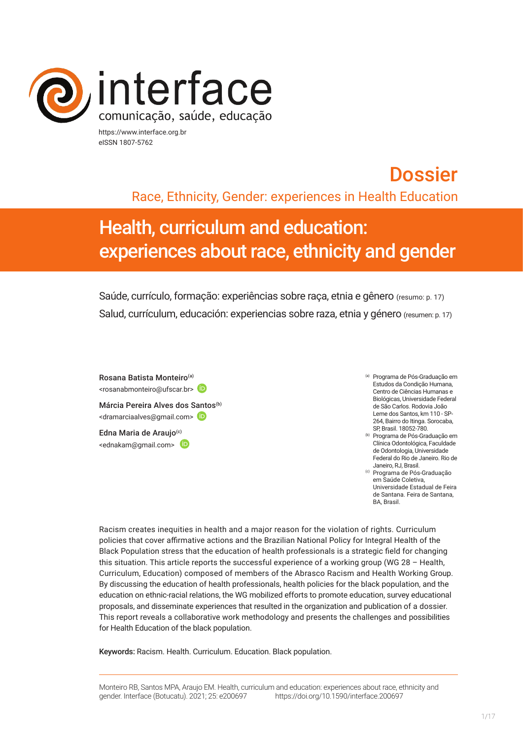

https://www.interface.org.br eISSN 1807-5762

# **Dossier** Race, Ethnicity, Gender: experiences in Health Education

# Health, curriculum and education: experiences about race, ethnicity and gender

Saúde, currículo, formação: experiências sobre raça, etnia e gênero (resumo: p. 17) Salud, currículum, educación: experiencias sobre raza, etnia y género (resumen: p. 17)

Rosana Batista Monteiro(a) <rosanabmonteiro@ufscar.br> Márcia Pereira Alves dos Santos<sup>(b)</sup> <dramarciaalves@gmail.com> Edna Maria de Araujo<sup>(c)</sup> <ednakam@gmail.com>

- (a) Programa de Pós-Graduação em Estudos da Condição Humana, Centro de Ciências Humanas e Biológicas, Universidade Federal de São Carlos. Rodovia João Leme dos Santos, km 110 - SP-264, Bairro do Itinga. Sorocaba, SP, Brasil. 18052-780.
- (b) Programa de Pós-Graduação em Clínica Odontológica, Faculdade de Odontologia, Universidade Federal do Rio de Janeiro. Rio de
- <sup>(c)</sup> Programa de Pós-Graduação em Saúde Coletiva, Universidade Estadual de Feira de Santana. Feira de Santana, BA, Brasil.

Racism creates inequities in health and a major reason for the violation of rights. Curriculum policies that cover affirmative actions and the Brazilian National Policy for Integral Health of the Black Population stress that the education of health professionals is a strategic field for changing this situation. This article reports the successful experience of a working group (WG 28 – Health, Curriculum, Education) composed of members of the Abrasco Racism and Health Working Group. By discussing the education of health professionals, health policies for the black population, and the education on ethnic-racial relations, the WG mobilized efforts to promote education, survey educational proposals, and disseminate experiences that resulted in the organization and publication of a dossier. This report reveals a collaborative work methodology and presents the challenges and possibilities for Health Education of the black population.

Keywords: Racism. Health. Curriculum. Education. Black population.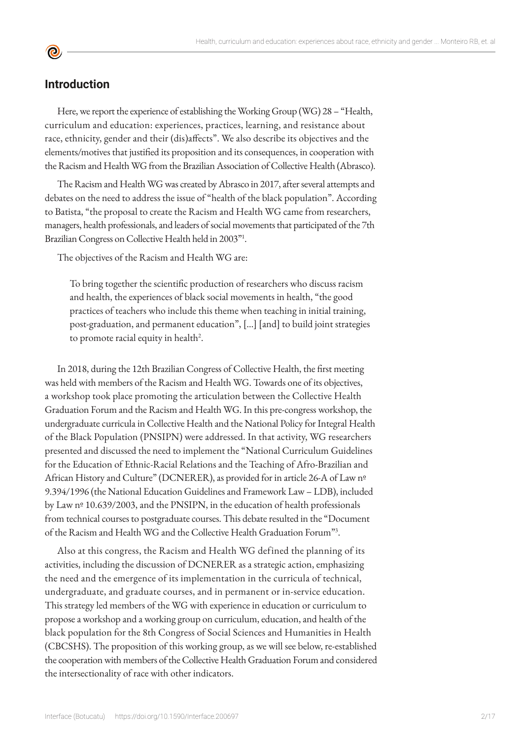#### **Introduction**

<u>ල</u>

Here, we report the experience of establishing the Working Group (WG) 28 – "Health, curriculum and education: experiences, practices, learning, and resistance about race, ethnicity, gender and their (dis)affects". We also describe its objectives and the elements/motives that justified its proposition and its consequences, in cooperation with the Racism and Health WG from the Brazilian Association of Collective Health (Abrasco).

The Racism and Health WG was created by Abrasco in 2017, after several attempts and debates on the need to address the issue of "health of the black population". According to Batista, "the proposal to create the Racism and Health WG came from researchers, managers, health professionals, and leaders of social movements that participated of the 7th Brazilian Congress on Collective Health held in 2003"1.

The objectives of the Racism and Health WG are:

To bring together the scientific production of researchers who discuss racism and health, the experiences of black social movements in health, "the good practices of teachers who include this theme when teaching in initial training, post-graduation, and permanent education", […] [and] to build joint strategies to promote racial equity in health<sup>2</sup>.

In 2018, during the 12th Brazilian Congress of Collective Health, the first meeting was held with members of the Racism and Health WG. Towards one of its objectives, a workshop took place promoting the articulation between the Collective Health Graduation Forum and the Racism and Health WG. In this pre-congress workshop, the undergraduate curricula in Collective Health and the National Policy for Integral Health of the Black Population (PNSIPN) were addressed. In that activity, WG researchers presented and discussed the need to implement the "National Curriculum Guidelines for the Education of Ethnic-Racial Relations and the Teaching of Afro-Brazilian and African History and Culture" (DCNERER), as provided for in article 26-A of Law nº 9.394/1996 (the National Education Guidelines and Framework Law – LDB), included by Law nº 10.639/2003, and the PNSIPN, in the education of health professionals from technical courses to postgraduate courses. This debate resulted in the "Document of the Racism and Health WG and the Collective Health Graduation Forum"3 .

Also at this congress, the Racism and Health WG defined the planning of its activities, including the discussion of DCNERER as a strategic action, emphasizing the need and the emergence of its implementation in the curricula of technical, undergraduate, and graduate courses, and in permanent or in-service education. This strategy led members of the WG with experience in education or curriculum to propose a workshop and a working group on curriculum, education, and health of the black population for the 8th Congress of Social Sciences and Humanities in Health (CBCSHS). The proposition of this working group, as we will see below, re-established the cooperation with members of the Collective Health Graduation Forum and considered the intersectionality of race with other indicators.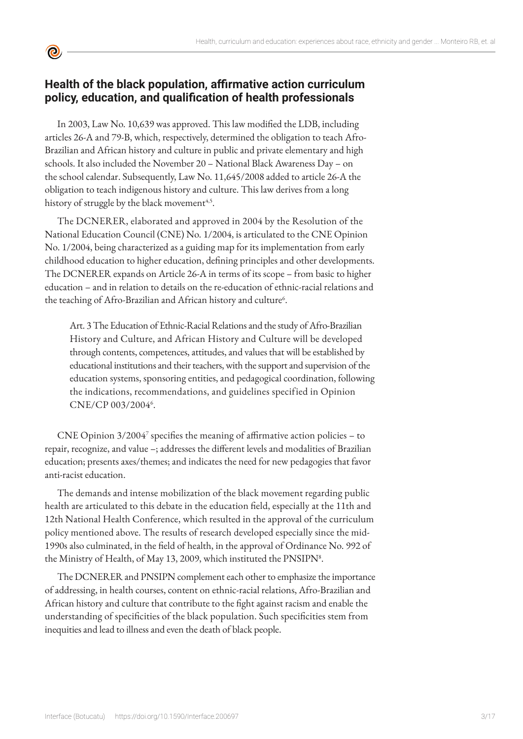

## **Health of the black population, affirmative action curriculum policy, education, and qualification of health professionals**

In 2003, Law No. 10,639 was approved. This law modified the LDB, including articles 26-A and 79-B, which, respectively, determined the obligation to teach Afro-Brazilian and African history and culture in public and private elementary and high schools. It also included the November 20 – National Black Awareness Day – on the school calendar. Subsequently, Law No. 11,645/2008 added to article 26-A the obligation to teach indigenous history and culture. This law derives from a long history of struggle by the black movement<sup>4,5</sup>.

The DCNERER, elaborated and approved in 2004 by the Resolution of the National Education Council (CNE) No. 1/2004, is articulated to the CNE Opinion No. 1/2004, being characterized as a guiding map for its implementation from early childhood education to higher education, defining principles and other developments. The DCNERER expands on Article 26-A in terms of its scope – from basic to higher education – and in relation to details on the re-education of ethnic-racial relations and the teaching of Afro-Brazilian and African history and culture<sup>6</sup>.

Art. 3 The Education of Ethnic-Racial Relations and the study of Afro-Brazilian History and Culture, and African History and Culture will be developed through contents, competences, attitudes, and values that will be established by educational institutions and their teachers, with the support and supervision of the education systems, sponsoring entities, and pedagogical coordination, following the indications, recommendations, and guidelines specified in Opinion CNE/CP 003/2004<sup>6</sup>.

CNE Opinion 3/2004<sup>7</sup> specifies the meaning of affirmative action policies – to repair, recognize, and value –; addresses the different levels and modalities of Brazilian education; presents axes/themes; and indicates the need for new pedagogies that favor anti-racist education.

The demands and intense mobilization of the black movement regarding public health are articulated to this debate in the education field, especially at the 11th and 12th National Health Conference, which resulted in the approval of the curriculum policy mentioned above. The results of research developed especially since the mid-1990s also culminated, in the field of health, in the approval of Ordinance No. 992 of the Ministry of Health, of May 13, 2009, which instituted the PNSIPN<sup>8</sup>.

The DCNERER and PNSIPN complement each other to emphasize the importance of addressing, in health courses, content on ethnic-racial relations, Afro-Brazilian and African history and culture that contribute to the fight against racism and enable the understanding of specificities of the black population. Such specificities stem from inequities and lead to illness and even the death of black people.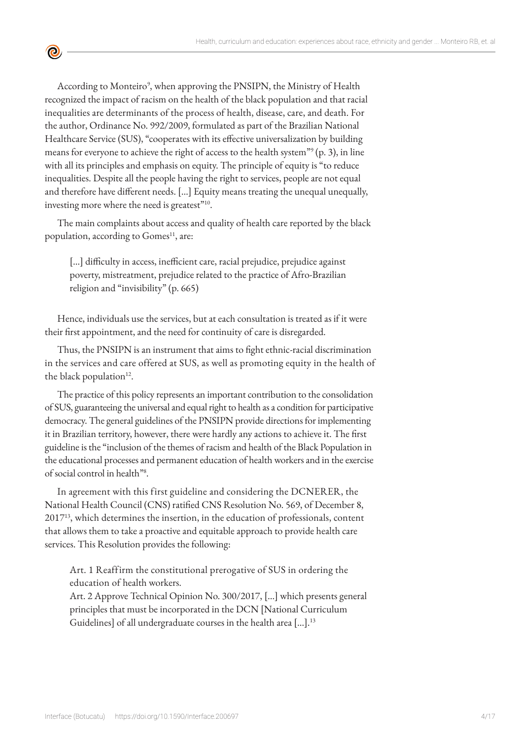According to Monteiro<sup>9</sup>, when approving the PNSIPN, the Ministry of Health recognized the impact of racism on the health of the black population and that racial inequalities are determinants of the process of health, disease, care, and death. For the author, Ordinance No. 992/2009, formulated as part of the Brazilian National Healthcare Service (SUS), "cooperates with its effective universalization by building means for everyone to achieve the right of access to the health system"<sup>9</sup> (p. 3), in line with all its principles and emphasis on equity. The principle of equity is "to reduce inequalities. Despite all the people having the right to services, people are not equal and therefore have different needs. […] Equity means treating the unequal unequally, investing more where the need is greatest"<sup>10</sup>.

<u>ල</u>

The main complaints about access and quality of health care reported by the black population, according to Gomes<sup>11</sup>, are:

[…] difficulty in access, inefficient care, racial prejudice, prejudice against poverty, mistreatment, prejudice related to the practice of Afro-Brazilian religion and "invisibility" (p. 665)

Hence, individuals use the services, but at each consultation is treated as if it were their first appointment, and the need for continuity of care is disregarded.

Thus, the PNSIPN is an instrument that aims to fight ethnic-racial discrimination in the services and care offered at SUS, as well as promoting equity in the health of the black population $12$ .

The practice of this policy represents an important contribution to the consolidation of SUS, guaranteeing the universal and equal right to health as a condition for participative democracy. The general guidelines of the PNSIPN provide directions for implementing it in Brazilian territory, however, there were hardly any actions to achieve it. The first guideline is the "inclusion of the themes of racism and health of the Black Population in the educational processes and permanent education of health workers and in the exercise of social control in health"<sup>8</sup> .

In agreement with this first guideline and considering the DCNERER, the National Health Council (CNS) ratified CNS Resolution No. 569, of December 8, 2017<sup>13</sup>, which determines the insertion, in the education of professionals, content that allows them to take a proactive and equitable approach to provide health care services. This Resolution provides the following:

Art. 1 Reaffirm the constitutional prerogative of SUS in ordering the education of health workers.

Art. 2 Approve Technical Opinion No. 300/2017, […] which presents general principles that must be incorporated in the DCN [National Curriculum Guidelines] of all undergraduate courses in the health area […].13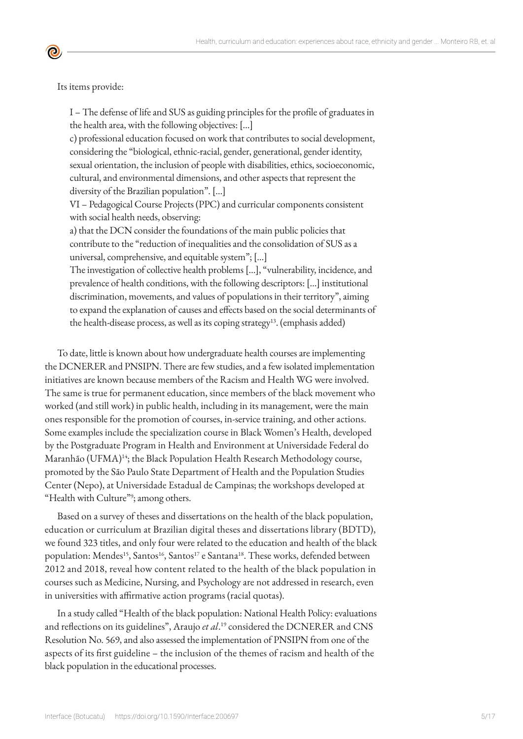Its items provide:

I – The defense of life and SUS as guiding principles for the profile of graduates in the health area, with the following objectives: […]

c) professional education focused on work that contributes to social development, considering the "biological, ethnic-racial, gender, generational, gender identity, sexual orientation, the inclusion of people with disabilities, ethics, socioeconomic, cultural, and environmental dimensions, and other aspects that represent the diversity of the Brazilian population". […]

VI – Pedagogical Course Projects (PPC) and curricular components consistent with social health needs, observing:

a) that the DCN consider the foundations of the main public policies that contribute to the "reduction of inequalities and the consolidation of SUS as a universal, comprehensive, and equitable system"; […]

The investigation of collective health problems […], "vulnerability, incidence, and prevalence of health conditions, with the following descriptors: […] institutional discrimination, movements, and values of populations in their territory", aiming to expand the explanation of causes and effects based on the social determinants of the health-disease process, as well as its coping strategy<sup>13</sup>. (emphasis added)

To date, little is known about how undergraduate health courses are implementing the DCNERER and PNSIPN. There are few studies, and a few isolated implementation initiatives are known because members of the Racism and Health WG were involved. The same is true for permanent education, since members of the black movement who worked (and still work) in public health, including in its management, were the main ones responsible for the promotion of courses, in-service training, and other actions. Some examples include the specialization course in Black Women's Health, developed by the Postgraduate Program in Health and Environment at Universidade Federal do Maranhão (UFMA)<sup>14</sup>; the Black Population Health Research Methodology course, promoted by the São Paulo State Department of Health and the Population Studies Center (Nepo), at Universidade Estadual de Campinas; the workshops developed at "Health with Culture"<sup>9</sup>; among others.

Based on a survey of theses and dissertations on the health of the black population, education or curriculum at Brazilian digital theses and dissertations library (BDTD), we found 323 titles, and only four were related to the education and health of the black population: Mendes<sup>15</sup>, Santos<sup>16</sup>, Santos<sup>17</sup> e Santana<sup>18</sup>. These works, defended between 2012 and 2018, reveal how content related to the health of the black population in courses such as Medicine, Nursing, and Psychology are not addressed in research, even in universities with affirmative action programs (racial quotas).

In a study called "Health of the black population: National Health Policy: evaluations and reflections on its guidelines", Araujo *et al*. <sup>19</sup> considered the DCNERER and CNS Resolution No. 569, and also assessed the implementation of PNSIPN from one of the aspects of its first guideline – the inclusion of the themes of racism and health of the black population in the educational processes.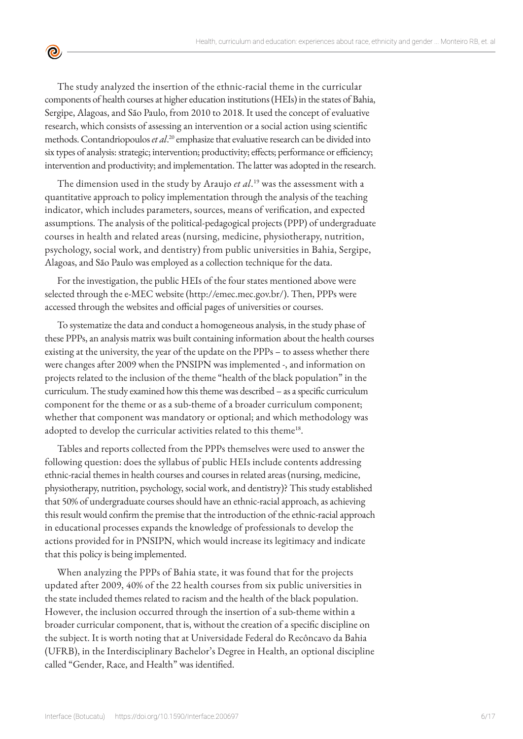The study analyzed the insertion of the ethnic-racial theme in the curricular components of health courses at higher education institutions (HEIs) in the states of Bahia, Sergipe, Alagoas, and São Paulo, from 2010 to 2018. It used the concept of evaluative research, which consists of assessing an intervention or a social action using scientific methods. Contandriopoulos *et al*. <sup>20</sup> emphasize that evaluative research can be divided into six types of analysis: strategic; intervention; productivity; effects; performance or efficiency; intervention and productivity; and implementation. The latter was adopted in the research.

 $\bullet$ 

The dimension used in the study by Araujo *et al*. 19 was the assessment with a quantitative approach to policy implementation through the analysis of the teaching indicator, which includes parameters, sources, means of verification, and expected assumptions. The analysis of the political-pedagogical projects (PPP) of undergraduate courses in health and related areas (nursing, medicine, physiotherapy, nutrition, psychology, social work, and dentistry) from public universities in Bahia, Sergipe, Alagoas, and São Paulo was employed as a collection technique for the data.

For the investigation, the public HEIs of the four states mentioned above were selected through the e-MEC website (http://emec.mec.gov.br/). Then, PPPs were accessed through the websites and official pages of universities or courses.

To systematize the data and conduct a homogeneous analysis, in the study phase of these PPPs, an analysis matrix was built containing information about the health courses existing at the university, the year of the update on the PPPs – to assess whether there were changes after 2009 when the PNSIPN was implemented -, and information on projects related to the inclusion of the theme "health of the black population" in the curriculum. The study examined how this theme was described – as a specific curriculum component for the theme or as a sub-theme of a broader curriculum component; whether that component was mandatory or optional; and which methodology was adopted to develop the curricular activities related to this theme<sup>18</sup>.

Tables and reports collected from the PPPs themselves were used to answer the following question: does the syllabus of public HEIs include contents addressing ethnic-racial themes in health courses and courses in related areas (nursing, medicine, physiotherapy, nutrition, psychology, social work, and dentistry)? This study established that 50% of undergraduate courses should have an ethnic-racial approach, as achieving this result would confirm the premise that the introduction of the ethnic-racial approach in educational processes expands the knowledge of professionals to develop the actions provided for in PNSIPN, which would increase its legitimacy and indicate that this policy is being implemented.

When analyzing the PPPs of Bahia state, it was found that for the projects updated after 2009, 40% of the 22 health courses from six public universities in the state included themes related to racism and the health of the black population. However, the inclusion occurred through the insertion of a sub-theme within a broader curricular component, that is, without the creation of a specific discipline on the subject. It is worth noting that at Universidade Federal do Recôncavo da Bahia (UFRB), in the Interdisciplinary Bachelor's Degree in Health, an optional discipline called "Gender, Race, and Health" was identified.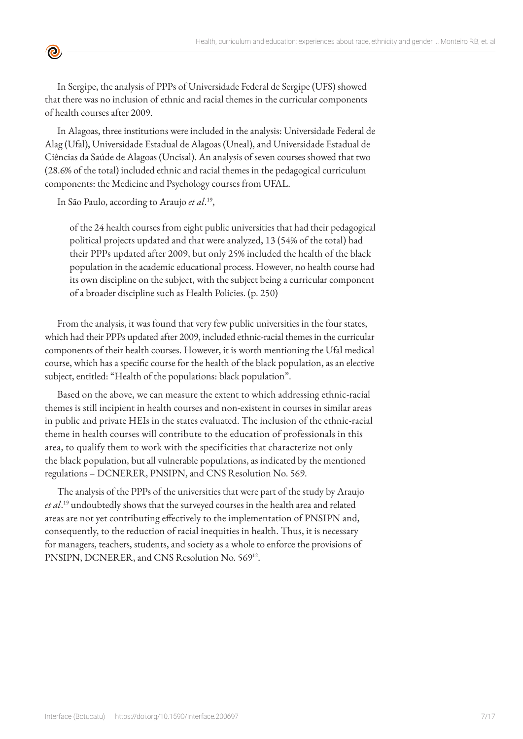

In Alagoas, three institutions were included in the analysis: Universidade Federal de Alag (Ufal), Universidade Estadual de Alagoas (Uneal), and Universidade Estadual de Ciências da Saúde de Alagoas (Uncisal). An analysis of seven courses showed that two (28.6% of the total) included ethnic and racial themes in the pedagogical curriculum components: the Medicine and Psychology courses from UFAL.

In São Paulo, according to Araujo *et al*. 19,

<u>ල</u>

of the 24 health courses from eight public universities that had their pedagogical political projects updated and that were analyzed, 13 (54% of the total) had their PPPs updated after 2009, but only 25% included the health of the black population in the academic educational process. However, no health course had its own discipline on the subject, with the subject being a curricular component of a broader discipline such as Health Policies. (p. 250)

From the analysis, it was found that very few public universities in the four states, which had their PPPs updated after 2009, included ethnic-racial themes in the curricular components of their health courses. However, it is worth mentioning the Ufal medical course, which has a specific course for the health of the black population, as an elective subject, entitled: "Health of the populations: black population".

Based on the above, we can measure the extent to which addressing ethnic-racial themes is still incipient in health courses and non-existent in courses in similar areas in public and private HEIs in the states evaluated. The inclusion of the ethnic-racial theme in health courses will contribute to the education of professionals in this area, to qualify them to work with the specificities that characterize not only the black population, but all vulnerable populations, as indicated by the mentioned regulations – DCNERER, PNSIPN, and CNS Resolution No. 569.

The analysis of the PPPs of the universities that were part of the study by Araujo *et al*. <sup>19</sup> undoubtedly shows that the surveyed courses in the health area and related areas are not yet contributing effectively to the implementation of PNSIPN and, consequently, to the reduction of racial inequities in health. Thus, it is necessary for managers, teachers, students, and society as a whole to enforce the provisions of PNSIPN, DCNERER, and CNS Resolution No. 569<sup>12</sup>.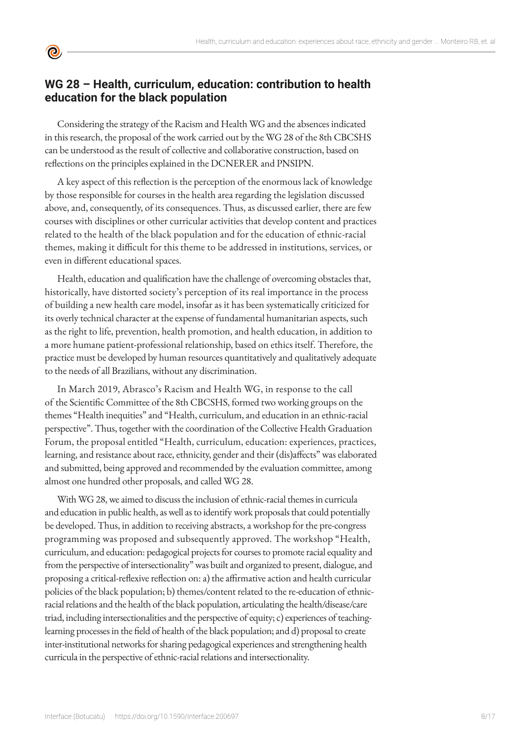# **WG 28 – Health, curriculum, education: contribution to health education for the black population**

**©** 

Considering the strategy of the Racism and Health WG and the absences indicated in this research, the proposal of the work carried out by the WG 28 of the 8th CBCSHS can be understood as the result of collective and collaborative construction, based on reflections on the principles explained in the DCNERER and PNSIPN.

A key aspect of this reflection is the perception of the enormous lack of knowledge by those responsible for courses in the health area regarding the legislation discussed above, and, consequently, of its consequences. Thus, as discussed earlier, there are few courses with disciplines or other curricular activities that develop content and practices related to the health of the black population and for the education of ethnic-racial themes, making it difficult for this theme to be addressed in institutions, services, or even in different educational spaces.

Health, education and qualification have the challenge of overcoming obstacles that, historically, have distorted society's perception of its real importance in the process of building a new health care model, insofar as it has been systematically criticized for its overly technical character at the expense of fundamental humanitarian aspects, such as the right to life, prevention, health promotion, and health education, in addition to a more humane patient-professional relationship, based on ethics itself. Therefore, the practice must be developed by human resources quantitatively and qualitatively adequate to the needs of all Brazilians, without any discrimination.

In March 2019, Abrasco's Racism and Health WG, in response to the call of the Scientific Committee of the 8th CBCSHS, formed two working groups on the themes "Health inequities" and "Health, curriculum, and education in an ethnic-racial perspective". Thus, together with the coordination of the Collective Health Graduation Forum, the proposal entitled "Health, curriculum, education: experiences, practices, learning, and resistance about race, ethnicity, gender and their (dis)affects" was elaborated and submitted, being approved and recommended by the evaluation committee, among almost one hundred other proposals, and called WG 28.

With WG 28, we aimed to discuss the inclusion of ethnic-racial themes in curricula and education in public health, as well as to identify work proposals that could potentially be developed. Thus, in addition to receiving abstracts, a workshop for the pre-congress programming was proposed and subsequently approved. The workshop "Health, curriculum, and education: pedagogical projects for courses to promote racial equality and from the perspective of intersectionality" was built and organized to present, dialogue, and proposing a critical-reflexive reflection on: a) the affirmative action and health curricular policies of the black population; b) themes/content related to the re-education of ethnicracial relations and the health of the black population, articulating the health/disease/care triad, including intersectionalities and the perspective of equity; c) experiences of teachinglearning processes in the field of health of the black population; and d) proposal to create inter-institutional networks for sharing pedagogical experiences and strengthening health curricula in the perspective of ethnic-racial relations and intersectionality.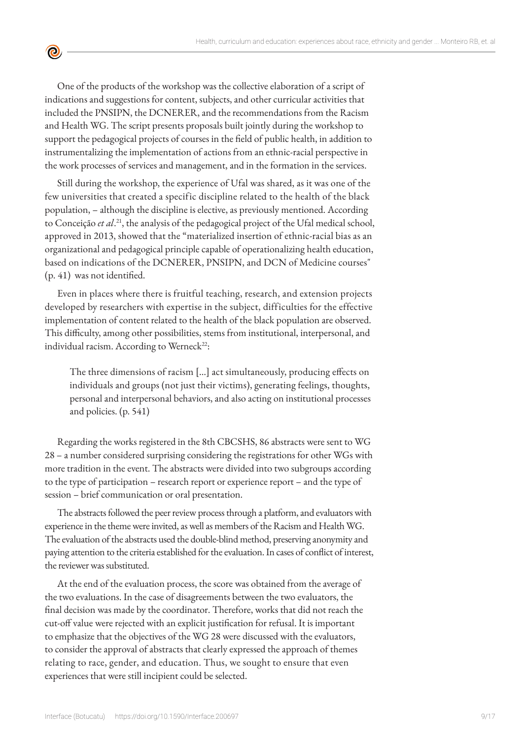One of the products of the workshop was the collective elaboration of a script of indications and suggestions for content, subjects, and other curricular activities that included the PNSIPN, the DCNERER, and the recommendations from the Racism and Health WG. The script presents proposals built jointly during the workshop to support the pedagogical projects of courses in the field of public health, in addition to instrumentalizing the implementation of actions from an ethnic-racial perspective in the work processes of services and management, and in the formation in the services.

<u>ල</u>

Still during the workshop, the experience of Ufal was shared, as it was one of the few universities that created a specific discipline related to the health of the black population, – although the discipline is elective, as previously mentioned. According to Conceição *et al*. <sup>21</sup>, the analysis of the pedagogical project of the Ufal medical school, approved in 2013, showed that the "materialized insertion of ethnic-racial bias as an organizational and pedagogical principle capable of operationalizing health education, based on indications of the DCNERER, PNSIPN, and DCN of Medicine courses" (p. 41) was not identified.

Even in places where there is fruitful teaching, research, and extension projects developed by researchers with expertise in the subject, difficulties for the effective implementation of content related to the health of the black population are observed. This difficulty, among other possibilities, stems from institutional, interpersonal, and individual racism. According to Werneck $^{22}$ :

The three dimensions of racism […] act simultaneously, producing effects on individuals and groups (not just their victims), generating feelings, thoughts, personal and interpersonal behaviors, and also acting on institutional processes and policies. (p. 541)

Regarding the works registered in the 8th CBCSHS, 86 abstracts were sent to WG 28 – a number considered surprising considering the registrations for other WGs with more tradition in the event. The abstracts were divided into two subgroups according to the type of participation – research report or experience report – and the type of session – brief communication or oral presentation.

The abstracts followed the peer review process through a platform, and evaluators with experience in the theme were invited, as well as members of the Racism and Health WG. The evaluation of the abstracts used the double-blind method, preserving anonymity and paying attention to the criteria established for the evaluation. In cases of conflict of interest, the reviewer was substituted.

At the end of the evaluation process, the score was obtained from the average of the two evaluations. In the case of disagreements between the two evaluators, the final decision was made by the coordinator. Therefore, works that did not reach the cut-off value were rejected with an explicit justification for refusal. It is important to emphasize that the objectives of the WG 28 were discussed with the evaluators, to consider the approval of abstracts that clearly expressed the approach of themes relating to race, gender, and education. Thus, we sought to ensure that even experiences that were still incipient could be selected.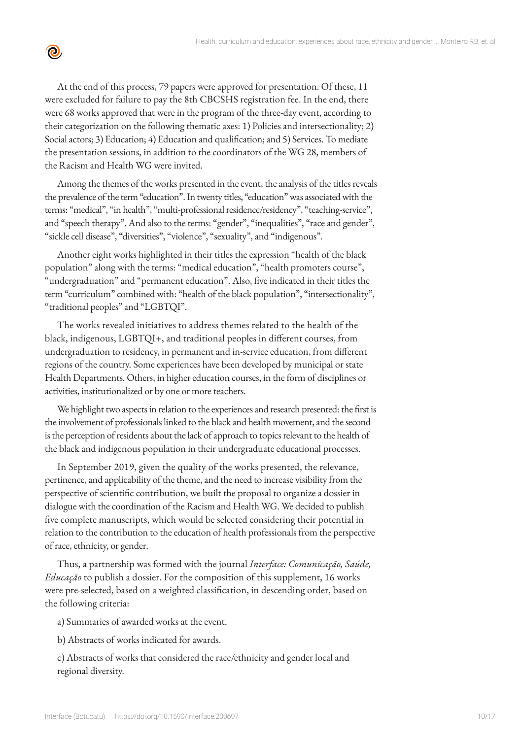At the end of this process, 79 papers were approved for presentation. Of these, 11 were excluded for failure to pay the 8th CBCSHS registration fee. In the end, there were 68 works approved that were in the program of the three-day event, according to their categorization on the following thematic axes: 1) Policies and intersectionality; 2) Social actors; 3) Education; 4) Education and qualification; and 5) Services. To mediate the presentation sessions, in addition to the coordinators of the WG 28, members of the Racism and Health WG were invited.

<u>ල</u>

Among the themes of the works presented in the event, the analysis of the titles reveals the prevalence of the term "education". In twenty titles, "education" was associated with the terms: "medical", "in health", "multi-professional residence/residency", "teaching-service", and "speech therapy". And also to the terms: "gender", "inequalities", "race and gender", "sickle cell disease", "diversities", "violence", "sexuality", and "indigenous".

Another eight works highlighted in their titles the expression "health of the black population" along with the terms: "medical education", "health promoters course", "undergraduation" and "permanent education". Also, five indicated in their titles the term "curriculum" combined with: "health of the black population", "intersectionality", "traditional peoples" and "LGBTQI".

The works revealed initiatives to address themes related to the health of the black, indigenous, LGBTQI+, and traditional peoples in different courses, from undergraduation to residency, in permanent and in-service education, from different regions of the country. Some experiences have been developed by municipal or state Health Departments. Others, in higher education courses, in the form of disciplines or activities, institutionalized or by one or more teachers.

We highlight two aspects in relation to the experiences and research presented: the first is the involvement of professionals linked to the black and health movement, and the second is the perception of residents about the lack of approach to topics relevant to the health of the black and indigenous population in their undergraduate educational processes.

In September 2019, given the quality of the works presented, the relevance, pertinence, and applicability of the theme, and the need to increase visibility from the perspective of scientific contribution, we built the proposal to organize a dossier in dialogue with the coordination of the Racism and Health WG. We decided to publish five complete manuscripts, which would be selected considering their potential in relation to the contribution to the education of health professionals from the perspective of race, ethnicity, or gender.

Thus, a partnership was formed with the journal *Interface: Comunicação, Saúde, Educação* to publish a dossier. For the composition of this supplement, 16 works were pre-selected, based on a weighted classification, in descending order, based on the following criteria:

a) Summaries of awarded works at the event.

b) Abstracts of works indicated for awards.

c) Abstracts of works that considered the race/ethnicity and gender local and regional diversity.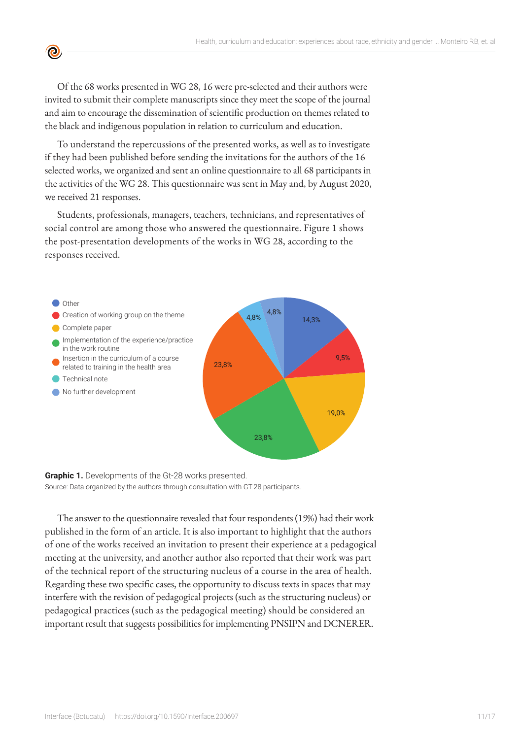Of the 68 works presented in WG 28, 16 were pre-selected and their authors were invited to submit their complete manuscripts since they meet the scope of the journal and aim to encourage the dissemination of scientific production on themes related to the black and indigenous population in relation to curriculum and education.

**©** 

To understand the repercussions of the presented works, as well as to investigate if they had been published before sending the invitations for the authors of the 16 selected works, we organized and sent an online questionnaire to all 68 participants in the activities of the WG 28. This questionnaire was sent in May and, by August 2020, we received 21 responses.

Students, professionals, managers, teachers, technicians, and representatives of social control are among those who answered the questionnaire. Figure 1 shows the post-presentation developments of the works in WG 28, according to the responses received.



**Graphic 1.** Developments of the Gt-28 works presented. Source: Data organized by the authors through consultation with GT-28 participants.

The answer to the questionnaire revealed that four respondents (19%) had their work published in the form of an article. It is also important to highlight that the authors of one of the works received an invitation to present their experience at a pedagogical meeting at the university, and another author also reported that their work was part of the technical report of the structuring nucleus of a course in the area of health. Regarding these two specific cases, the opportunity to discuss texts in spaces that may interfere with the revision of pedagogical projects (such as the structuring nucleus) or pedagogical practices (such as the pedagogical meeting) should be considered an important result that suggests possibilities for implementing PNSIPN and DCNERER.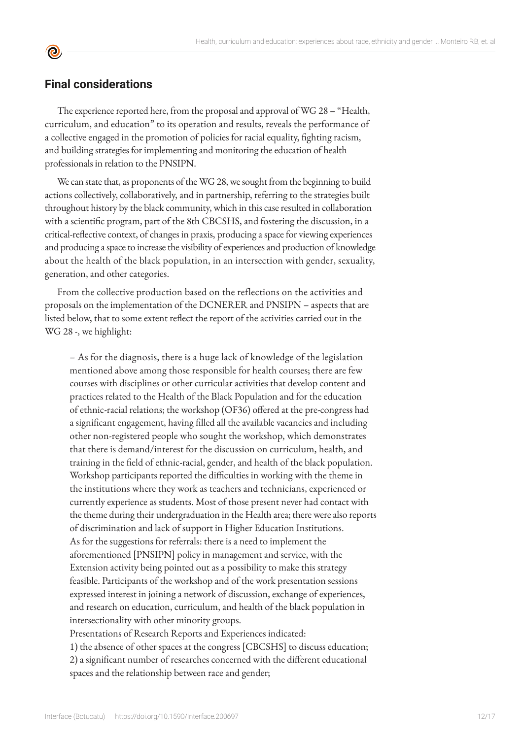### **Final considerations**

**©** 

The experience reported here, from the proposal and approval of WG 28 – "Health, curriculum, and education" to its operation and results, reveals the performance of a collective engaged in the promotion of policies for racial equality, fighting racism, and building strategies for implementing and monitoring the education of health professionals in relation to the PNSIPN.

We can state that, as proponents of the WG 28, we sought from the beginning to build actions collectively, collaboratively, and in partnership, referring to the strategies built throughout history by the black community, which in this case resulted in collaboration with a scientific program, part of the 8th CBCSHS, and fostering the discussion, in a critical-reflective context, of changes in praxis, producing a space for viewing experiences and producing a space to increase the visibility of experiences and production of knowledge about the health of the black population, in an intersection with gender, sexuality, generation, and other categories.

From the collective production based on the reflections on the activities and proposals on the implementation of the DCNERER and PNSIPN – aspects that are listed below, that to some extent reflect the report of the activities carried out in the WG 28 -, we highlight:

– As for the diagnosis, there is a huge lack of knowledge of the legislation mentioned above among those responsible for health courses; there are few courses with disciplines or other curricular activities that develop content and practices related to the Health of the Black Population and for the education of ethnic-racial relations; the workshop (OF36) offered at the pre-congress had a significant engagement, having filled all the available vacancies and including other non-registered people who sought the workshop, which demonstrates that there is demand/interest for the discussion on curriculum, health, and training in the field of ethnic-racial, gender, and health of the black population. Workshop participants reported the difficulties in working with the theme in the institutions where they work as teachers and technicians, experienced or currently experience as students. Most of those present never had contact with the theme during their undergraduation in the Health area; there were also reports of discrimination and lack of support in Higher Education Institutions. As for the suggestions for referrals: there is a need to implement the aforementioned [PNSIPN] policy in management and service, with the Extension activity being pointed out as a possibility to make this strategy feasible. Participants of the workshop and of the work presentation sessions expressed interest in joining a network of discussion, exchange of experiences, and research on education, curriculum, and health of the black population in intersectionality with other minority groups.

Presentations of Research Reports and Experiences indicated:

1) the absence of other spaces at the congress [CBCSHS] to discuss education; 2) a significant number of researches concerned with the different educational spaces and the relationship between race and gender;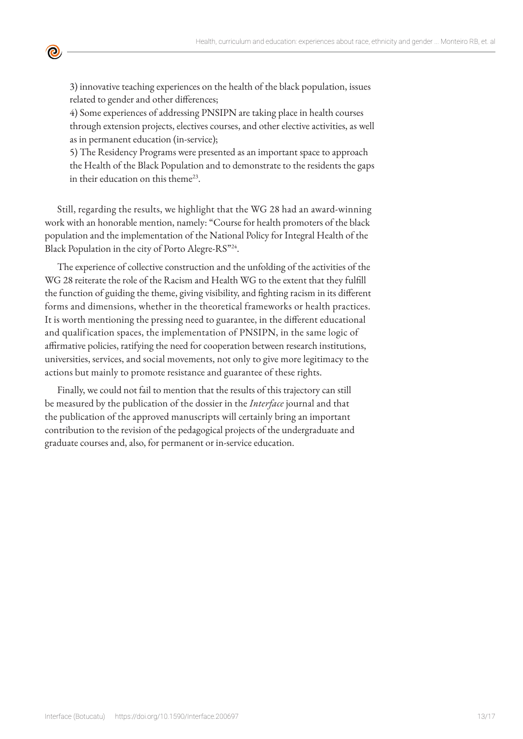

3) innovative teaching experiences on the health of the black population, issues related to gender and other differences;

4) Some experiences of addressing PNSIPN are taking place in health courses through extension projects, electives courses, and other elective activities, as well as in permanent education (in-service);

5) The Residency Programs were presented as an important space to approach the Health of the Black Population and to demonstrate to the residents the gaps in their education on this theme<sup>23</sup>.

Still, regarding the results, we highlight that the WG 28 had an award-winning work with an honorable mention, namely: "Course for health promoters of the black population and the implementation of the National Policy for Integral Health of the Black Population in the city of Porto Alegre-RS"24.

The experience of collective construction and the unfolding of the activities of the WG 28 reiterate the role of the Racism and Health WG to the extent that they fulfill the function of guiding the theme, giving visibility, and fighting racism in its different forms and dimensions, whether in the theoretical frameworks or health practices. It is worth mentioning the pressing need to guarantee, in the different educational and qualification spaces, the implementation of PNSIPN, in the same logic of affirmative policies, ratifying the need for cooperation between research institutions, universities, services, and social movements, not only to give more legitimacy to the actions but mainly to promote resistance and guarantee of these rights.

Finally, we could not fail to mention that the results of this trajectory can still be measured by the publication of the dossier in the *Interface* journal and that the publication of the approved manuscripts will certainly bring an important contribution to the revision of the pedagogical projects of the undergraduate and graduate courses and, also, for permanent or in-service education.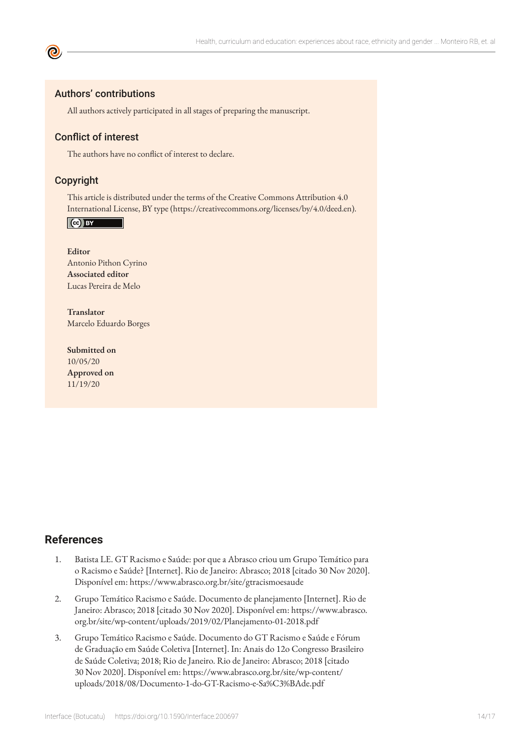#### Authors' contributions

All authors actively participated in all stages of preparing the manuscript.

#### Conflict of interest

The authors have no conflict of interest to declare.

#### Copyright

This article is distributed under the terms of the Creative Commons Attribution 4.0 International License, BY type (https://creativecommons.org/licenses/by/4.0/deed.en).

Cc) BY

**Editor** Antonio Pithon Cyrino **Associated editor** Lucas Pereira de Melo

**Translator** Marcelo Eduardo Borges

**Submitted on** 10/05/20 **Approved on** 11/19/20

#### **References**

- 1. Batista LE. GT Racismo e Saúde: por que a Abrasco criou um Grupo Temático para o Racismo e Saúde? [Internet]. Rio de Janeiro: Abrasco; 2018 [citado 30 Nov 2020]. Disponível em: https://www.abrasco.org.br/site/gtracismoesaude
- 2. Grupo Temático Racismo e Saúde. Documento de planejamento [Internet]. Rio de Janeiro: Abrasco; 2018 [citado 30 Nov 2020]. Disponível em: https://www.abrasco. org.br/site/wp-content/uploads/2019/02/Planejamento-01-2018.pdf
- 3. Grupo Temático Racismo e Saúde. Documento do GT Racismo e Saúde e Fórum de Graduação em Saúde Coletiva [Internet]. In: Anais do 12o Congresso Brasileiro de Saúde Coletiva; 2018; Rio de Janeiro. Rio de Janeiro: Abrasco; 2018 [citado 30 Nov 2020]. Disponível em: https://www.abrasco.org.br/site/wp-content/ uploads/2018/08/Documento-1-do-GT-Racismo-e-Sa%C3%BAde.pdf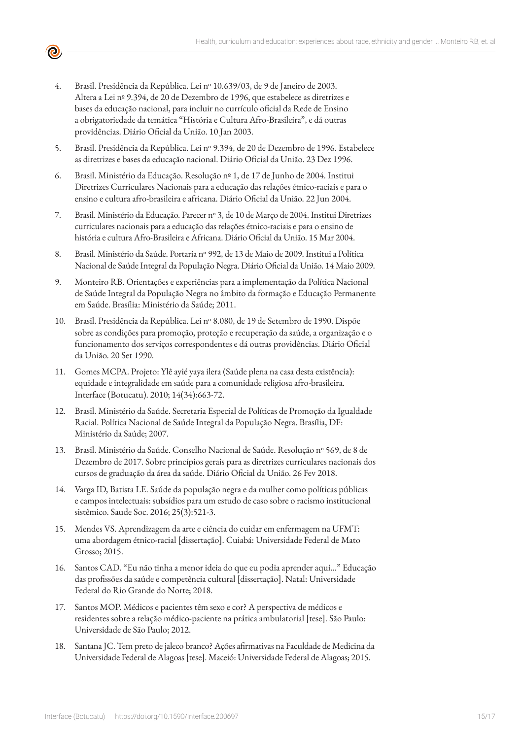- - 4. Brasil. Presidência da República. Lei nº 10.639/03, de 9 de Janeiro de 2003. Altera a Lei nº 9.394, de 20 de Dezembro de 1996, que estabelece as diretrizes e bases da educação nacional, para incluir no currículo oficial da Rede de Ensino a obrigatoriedade da temática "História e Cultura Afro-Brasileira", e dá outras providências. Diário Oficial da União. 10 Jan 2003.
	- 5. Brasil. Presidência da República. Lei nº 9.394, de 20 de Dezembro de 1996. Estabelece as diretrizes e bases da educação nacional. Diário Oficial da União. 23 Dez 1996.
	- 6. Brasil. Ministério da Educação. Resolução nº 1, de 17 de Junho de 2004. Institui Diretrizes Curriculares Nacionais para a educação das relações étnico-raciais e para o ensino e cultura afro-brasileira e africana. Diário Oficial da União. 22 Jun 2004.
	- 7. Brasil. Ministério da Educação. Parecer nº 3, de 10 de Março de 2004. Institui Diretrizes curriculares nacionais para a educação das relações étnico-raciais e para o ensino de história e cultura Afro-Brasileira e Africana. Diário Oficial da União. 15 Mar 2004.
	- 8. Brasil. Ministério da Saúde. Portaria nº 992, de 13 de Maio de 2009. Institui a Política Nacional de Saúde Integral da População Negra. Diário Oficial da União. 14 Maio 2009.
	- 9. Monteiro RB. Orientações e experiências para a implementação da Política Nacional de Saúde Integral da População Negra no âmbito da formação e Educação Permanente em Saúde. Brasília: Ministério da Saúde; 2011.
	- 10. Brasil. Presidência da República. Lei nº 8.080, de 19 de Setembro de 1990. Dispõe sobre as condições para promoção, proteção e recuperação da saúde, a organização e o funcionamento dos serviços correspondentes e dá outras providências. Diário Oficial da União. 20 Set 1990.
	- 11. Gomes MCPA. Projeto: Ylê ayié yaya ilera (Saúde plena na casa desta existência): equidade e integralidade em saúde para a comunidade religiosa afro-brasileira. Interface (Botucatu). 2010; 14(34):663-72.
	- 12. Brasil. Ministério da Saúde. Secretaria Especial de Políticas de Promoção da Igualdade Racial. Política Nacional de Saúde Integral da População Negra. Brasília, DF: Ministério da Saúde; 2007.
	- 13. Brasil. Ministério da Saúde. Conselho Nacional de Saúde. Resolução nº 569, de 8 de Dezembro de 2017. Sobre princípios gerais para as diretrizes curriculares nacionais dos cursos de graduação da área da saúde. Diário Oficial da União. 26 Fev 2018.
	- 14. Varga ID, Batista LE. Saúde da população negra e da mulher como políticas públicas e campos intelectuais: subsídios para um estudo de caso sobre o racismo institucional sistêmico. Saude Soc. 2016; 25(3):521-3.
	- 15. Mendes VS. Aprendizagem da arte e ciência do cuidar em enfermagem na UFMT: uma abordagem étnico-racial [dissertação]. Cuiabá: Universidade Federal de Mato Grosso; 2015.
	- 16. Santos CAD. "Eu não tinha a menor ideia do que eu podia aprender aqui…" Educação das profissões da saúde e competência cultural [dissertação]. Natal: Universidade Federal do Rio Grande do Norte; 2018.
	- 17. Santos MOP. Médicos e pacientes têm sexo e cor? A perspectiva de médicos e residentes sobre a relação médico-paciente na prática ambulatorial [tese]. São Paulo: Universidade de São Paulo; 2012.
	- 18. Santana JC. Tem preto de jaleco branco? Ações afirmativas na Faculdade de Medicina da Universidade Federal de Alagoas [tese]. Maceió: Universidade Federal de Alagoas; 2015.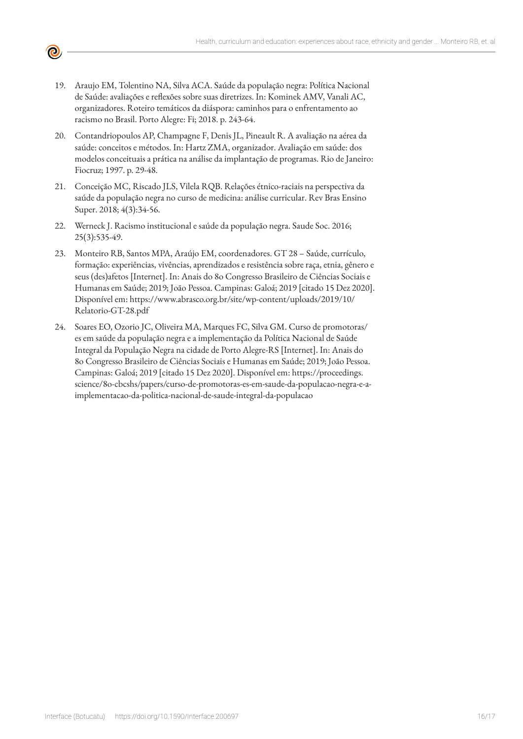

- 19. Araujo EM, Tolentino NA, Silva ACA. Saúde da população negra: Política Nacional de Saúde: avaliações e reflexões sobre suas diretrizes. In: Kominek AMV, Vanali AC, organizadores. Roteiro temáticos da diáspora: caminhos para o enfrentamento ao racismo no Brasil. Porto Alegre: Fi; 2018. p. 243-64.
- 20. Contandriopoulos AP, Champagne F, Denis JL, Pineault R. A avaliação na aérea da saúde: conceitos e métodos. In: Hartz ZMA, organizador. Avaliação em saúde: dos modelos conceituais a prática na análise da implantação de programas. Rio de Janeiro: Fiocruz; 1997. p. 29-48.
- 21. Conceição MC, Riscado JLS, Vilela RQB. Relações étnico-raciais na perspectiva da saúde da população negra no curso de medicina: análise curricular. Rev Bras Ensino Super. 2018; 4(3):34-56.
- 22. Werneck J. Racismo institucional e saúde da população negra. Saude Soc. 2016; 25(3):535-49.
- 23. Monteiro RB, Santos MPA, Araújo EM, coordenadores. GT 28 Saúde, currículo, formação: experiências, vivências, aprendizados e resistência sobre raça, etnia, gênero e seus (des)afetos [Internet]. In: Anais do 8o Congresso Brasileiro de Ciências Sociais e Humanas em Saúde; 2019; João Pessoa. Campinas: Galoá; 2019 [citado 15 Dez 2020]. Disponível em: https://www.abrasco.org.br/site/wp-content/uploads/2019/10/ Relatorio-GT-28.pdf
- 24. Soares EO, Ozorio JC, Oliveira MA, Marques FC, Silva GM. Curso de promotoras/ es em saúde da população negra e a implementação da Política Nacional de Saúde Integral da População Negra na cidade de Porto Alegre-RS [Internet]. In: Anais do 8o Congresso Brasileiro de Ciências Sociais e Humanas em Saúde; 2019; João Pessoa. Campinas: Galoá; 2019 [citado 15 Dez 2020]. Disponível em: https://proceedings. science/8o-cbcshs/papers/curso-de-promotoras-es-em-saude-da-populacao-negra-e-aimplementacao-da-politica-nacional-de-saude-integral-da-populacao